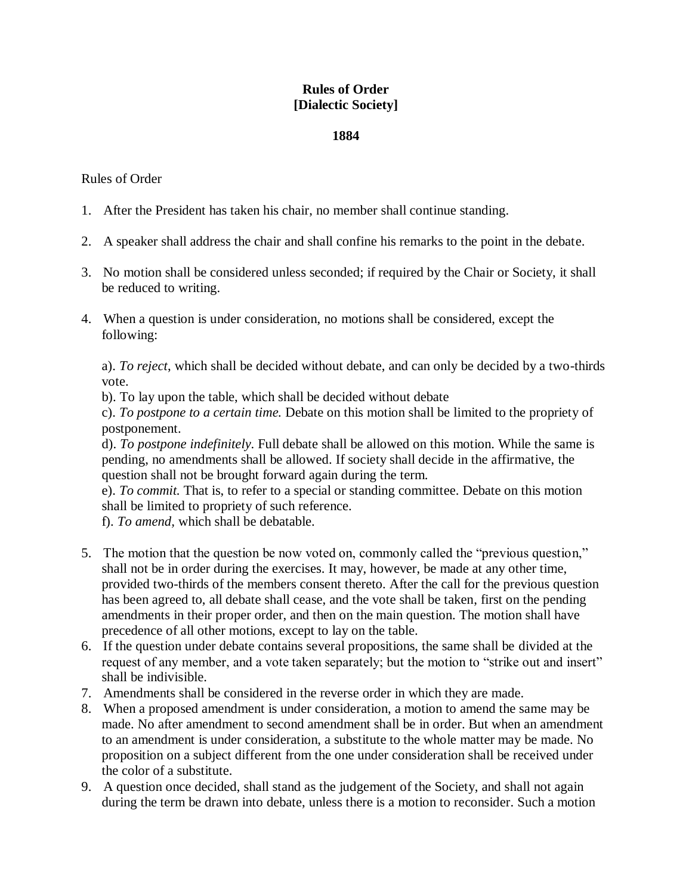## **Rules of Order [Dialectic Society]**

## **1884**

## Rules of Order

- 1. After the President has taken his chair, no member shall continue standing.
- 2. A speaker shall address the chair and shall confine his remarks to the point in the debate.
- 3. No motion shall be considered unless seconded; if required by the Chair or Society, it shall be reduced to writing.
- 4. When a question is under consideration, no motions shall be considered, except the following:

a). *To reject*, which shall be decided without debate, and can only be decided by a two-thirds vote.

b). To lay upon the table, which shall be decided without debate

c). *To postpone to a certain time.* Debate on this motion shall be limited to the propriety of postponement.

d). *To postpone indefinitely*. Full debate shall be allowed on this motion. While the same is pending, no amendments shall be allowed. If society shall decide in the affirmative, the question shall not be brought forward again during the term.

e). *To commit.* That is, to refer to a special or standing committee. Debate on this motion shall be limited to propriety of such reference.

f). *To amend,* which shall be debatable.

- 5. The motion that the question be now voted on, commonly called the "previous question," shall not be in order during the exercises. It may, however, be made at any other time, provided two-thirds of the members consent thereto. After the call for the previous question has been agreed to, all debate shall cease, and the vote shall be taken, first on the pending amendments in their proper order, and then on the main question. The motion shall have precedence of all other motions, except to lay on the table.
- 6. If the question under debate contains several propositions, the same shall be divided at the request of any member, and a vote taken separately; but the motion to "strike out and insert" shall be indivisible.
- 7. Amendments shall be considered in the reverse order in which they are made.
- 8. When a proposed amendment is under consideration, a motion to amend the same may be made. No after amendment to second amendment shall be in order. But when an amendment to an amendment is under consideration, a substitute to the whole matter may be made. No proposition on a subject different from the one under consideration shall be received under the color of a substitute.
- 9. A question once decided, shall stand as the judgement of the Society, and shall not again during the term be drawn into debate, unless there is a motion to reconsider. Such a motion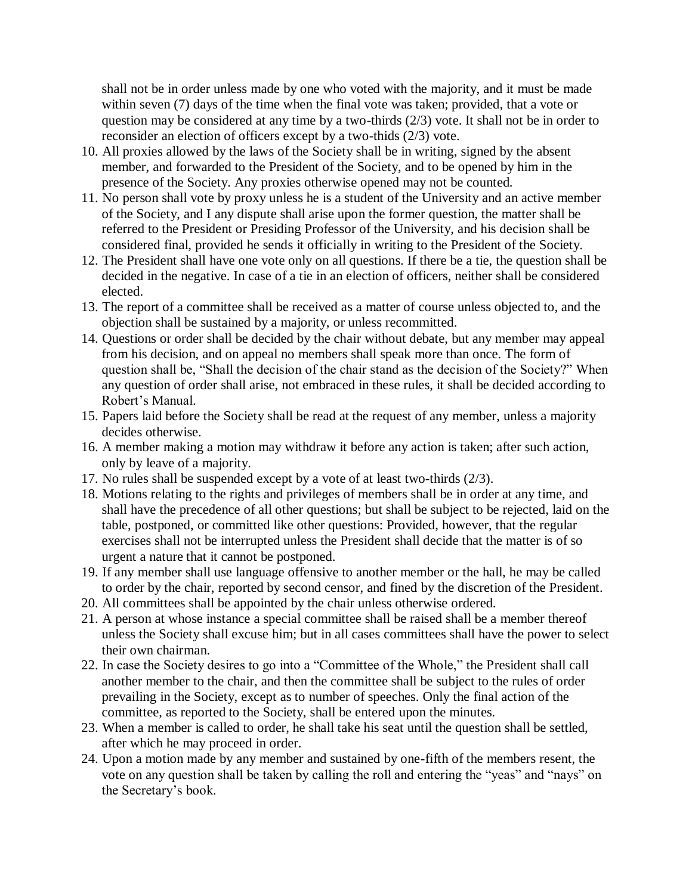shall not be in order unless made by one who voted with the majority, and it must be made within seven (7) days of the time when the final vote was taken; provided, that a vote or question may be considered at any time by a two-thirds (2/3) vote. It shall not be in order to reconsider an election of officers except by a two-thids (2/3) vote.

- 10. All proxies allowed by the laws of the Society shall be in writing, signed by the absent member, and forwarded to the President of the Society, and to be opened by him in the presence of the Society. Any proxies otherwise opened may not be counted.
- 11. No person shall vote by proxy unless he is a student of the University and an active member of the Society, and I any dispute shall arise upon the former question, the matter shall be referred to the President or Presiding Professor of the University, and his decision shall be considered final, provided he sends it officially in writing to the President of the Society.
- 12. The President shall have one vote only on all questions. If there be a tie, the question shall be decided in the negative. In case of a tie in an election of officers, neither shall be considered elected.
- 13. The report of a committee shall be received as a matter of course unless objected to, and the objection shall be sustained by a majority, or unless recommitted.
- 14. Questions or order shall be decided by the chair without debate, but any member may appeal from his decision, and on appeal no members shall speak more than once. The form of question shall be, "Shall the decision of the chair stand as the decision of the Society?" When any question of order shall arise, not embraced in these rules, it shall be decided according to Robert's Manual.
- 15. Papers laid before the Society shall be read at the request of any member, unless a majority decides otherwise.
- 16. A member making a motion may withdraw it before any action is taken; after such action, only by leave of a majority.
- 17. No rules shall be suspended except by a vote of at least two-thirds (2/3).
- 18. Motions relating to the rights and privileges of members shall be in order at any time, and shall have the precedence of all other questions; but shall be subject to be rejected, laid on the table, postponed, or committed like other questions: Provided, however, that the regular exercises shall not be interrupted unless the President shall decide that the matter is of so urgent a nature that it cannot be postponed.
- 19. If any member shall use language offensive to another member or the hall, he may be called to order by the chair, reported by second censor, and fined by the discretion of the President.
- 20. All committees shall be appointed by the chair unless otherwise ordered.
- 21. A person at whose instance a special committee shall be raised shall be a member thereof unless the Society shall excuse him; but in all cases committees shall have the power to select their own chairman.
- 22. In case the Society desires to go into a "Committee of the Whole," the President shall call another member to the chair, and then the committee shall be subject to the rules of order prevailing in the Society, except as to number of speeches. Only the final action of the committee, as reported to the Society, shall be entered upon the minutes.
- 23. When a member is called to order, he shall take his seat until the question shall be settled, after which he may proceed in order.
- 24. Upon a motion made by any member and sustained by one-fifth of the members resent, the vote on any question shall be taken by calling the roll and entering the "yeas" and "nays" on the Secretary's book.